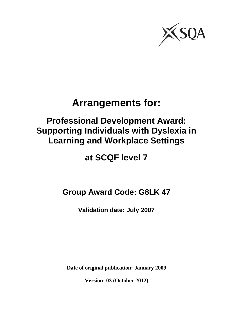

# **Arrangements for:**

# **Professional Development Award: Supporting Individuals with Dyslexia in Learning and Workplace Settings**

# **at SCQF level 7**

**Group Award Code: G8LK 47**

**Validation date: July 2007**

**Date of original publication: January 2009**

**Version: 03 (October 2012)**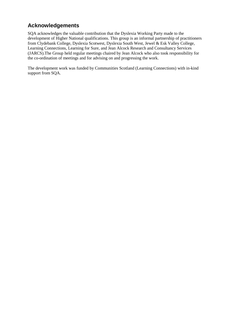## **Acknowledgements**

SQA acknowledges the valuable contribution that the Dyslexia Working Party made to the development of Higher National qualifications. This group is an informal partnership of practitioners from Clydebank College, Dyslexia Scotwest, Dyslexia South West, Jewel & Esk Valley College, Learning Connections, Learning for Sure, and Jean Alcock Research and Consultancy Services (JARCS).The Group held regular meetings chaired by Jean Alcock who also took responsibility for the co-ordination of meetings and for advising on and progressing the work.

The development work was funded by Communities Scotland (Learning Connections) with in-kind support from SQA.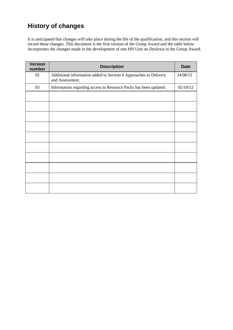# **History of changes**

It is anticipated that changes will take place during the life of the qualification, and this section will record these changes. This document is the first version of the Group Award and the table below incorporates the changes made in the development of one HN Unit on Dyslexia in the Group Award.

| <b>Version</b><br>number | <b>Description</b>                                                                  |          |  |  |  |  |
|--------------------------|-------------------------------------------------------------------------------------|----------|--|--|--|--|
| 02                       | Additional information added to Section 6 Approaches to Delivery<br>and Assessment. | 24/08/12 |  |  |  |  |
| 03                       | Information regarding access to Resource Packs has been updated.                    | 02/10/12 |  |  |  |  |
|                          |                                                                                     |          |  |  |  |  |
|                          |                                                                                     |          |  |  |  |  |
|                          |                                                                                     |          |  |  |  |  |
|                          |                                                                                     |          |  |  |  |  |
|                          |                                                                                     |          |  |  |  |  |
|                          |                                                                                     |          |  |  |  |  |
|                          |                                                                                     |          |  |  |  |  |
|                          |                                                                                     |          |  |  |  |  |
|                          |                                                                                     |          |  |  |  |  |
|                          |                                                                                     |          |  |  |  |  |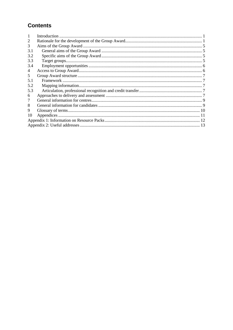## **Contents**

| 1             |  |  |  |  |  |
|---------------|--|--|--|--|--|
| 2             |  |  |  |  |  |
| 3             |  |  |  |  |  |
| 3.1           |  |  |  |  |  |
| 3.2           |  |  |  |  |  |
| 3.3           |  |  |  |  |  |
| 3.4           |  |  |  |  |  |
| 4             |  |  |  |  |  |
| $\mathcal{F}$ |  |  |  |  |  |
| 5.1           |  |  |  |  |  |
| 5.2           |  |  |  |  |  |
| 5.3           |  |  |  |  |  |
| 6             |  |  |  |  |  |
| 7             |  |  |  |  |  |
| 8             |  |  |  |  |  |
| 9             |  |  |  |  |  |
| 10            |  |  |  |  |  |
|               |  |  |  |  |  |
|               |  |  |  |  |  |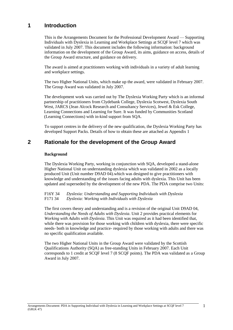## <span id="page-4-0"></span>**1 Introduction**

This is the Arrangements Document for the Professional Development Award — Supporting Individuals with Dyslexia in Learning and Workplace Settings at SCQF level 7 which was validated in July 2007. This document includes the following information: background information on the development of the Group Award, its aims, guidance on access, details of the Group Award structure, and guidance on delivery.

The award is aimed at practitioners working with individuals in a variety of adult learning and workplace settings.

The two Higher National Units, which make up the award, were validated in February 2007. The Group Award was validated in July 2007.

The development work was carried out by The Dyslexia Working Party which is an informal partnership of practitioners from Clydebank College, Dyslexia Scotwest, Dyslexia South West, JARCS (Jean Alcock Research and Consultancy Services), Jewel & Esk College, Learning Connections and Learning for Sure. It was funded by Communities Scotland (Learning Connections) with in-kind support from SQA.

To support centres in the delivery of the new qualification, the Dyslexia Working Party has developed Support Packs. Details of how to obtain these are attached as Appendix 1

## <span id="page-4-1"></span>**2 Rationale for the development of the Group Award**

#### **Background**

The Dyslexia Working Party, working in conjunction with SQA, developed a stand-alone Higher National Unit on understanding dyslexia which was validated in 2002 as a locally produced Unit (Unit number D9AD 04).which was designed to give practitioners with knowledge and understanding of the issues facing adults with dyslexia. This Unit has been updated and superseded by the development of the new PDA. The PDA comprise two Units:

F16Y 34 *Dyslexia: Understanding and Supporting Individuals with Dyslexia* F171 34 *Dyslexia: Working with Individuals with Dyslexia*

The first covers theory and understanding and is a revision of the original Unit D9AD 04, *Understanding the Needs of Adults with Dyslexia*. Unit 2 provides practical elements for *Working with Adults with Dyslexia*. This Unit was required as it had been identified that, while there was provision for those working with children with dyslexia, there were specific needs- both in knowledge and practice- required by those working with adults and there was no specific qualification available.

The two Higher National Units in the Group Award were validated by the Scottish Qualifications Authority (SQA) as free-standing Units in February 2007. Each Unit corresponds to 1 credit at SCQF level 7 (8 SCQF points). The PDA was validated as a Group Award in July 2007.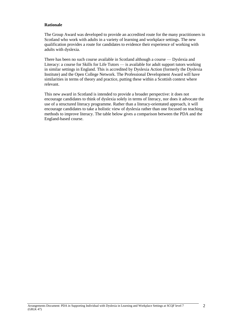#### **Rationale**

The Group Award was developed to provide an accredited route for the many practitioners in Scotland who work with adults in a variety of learning and workplace settings. The new qualification provides a route for candidates to evidence their experience of working with adults with dyslexia.

There has been no such course available in Scotland although a course — Dyslexia and Literacy: a course for Skills for Life Tutors — is available for adult support tutors working in similar settings in England. This is accredited by Dyslexia Action (formerly the Dyslexia Institute) and the Open College Network. The Professional Development Award will have similarities in terms of theory and practice, putting these within a Scottish context where relevant.

This new award in Scotland is intended to provide a broader perspective: it does not encourage candidates to think of dyslexia solely in terms of literacy, nor does it advocate the use of a structured literacy programme. Rather than a literacy-orientated approach, it will encourage candidates to take a holistic view of dyslexia rather than one focused on teaching methods to improve literacy. The table below gives a comparison between the PDA and the England-based course.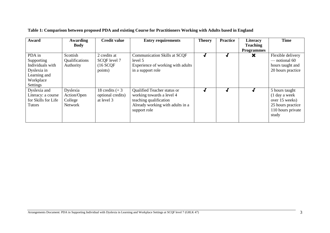| Award                                                                                                   | <b>Awarding</b><br><b>Body</b>                | <b>Credit value</b>                                   | <b>Entry requirements</b>                                                                                                              | <b>Theory</b> | <b>Practice</b> | Literacy<br><b>Teaching</b> | <b>Time</b>                                                                                          |
|---------------------------------------------------------------------------------------------------------|-----------------------------------------------|-------------------------------------------------------|----------------------------------------------------------------------------------------------------------------------------------------|---------------|-----------------|-----------------------------|------------------------------------------------------------------------------------------------------|
| PDA in<br>Supporting<br>Individuals with<br>Dyslexia in<br>Learning and<br>Workplace<br><b>Settings</b> | Scottish<br>Qualifications<br>Authority       | 2 credits at<br>SCQF level 7<br>$(16$ SCQF<br>points) | <b>Communication Skills at SCQF</b><br>level 5<br>Experience of working with adults<br>in a support role                               |               | J               | <b>Programmes</b><br>×      | Flexible delivery<br>— notional 60<br>hours taught and<br>20 hours practice                          |
| Dyslexia and<br>Literacy: a course<br>for Skills for Life<br><b>Tutors</b>                              | Dyslexia<br>Action/Open<br>College<br>Network | 18 credits $(+3)$<br>optional credits)<br>at level 3  | Qualified Teacher status or<br>working towards a level 4<br>teaching qualification<br>Already working with adults in a<br>support role |               |                 |                             | 5 hours taught<br>(1 day a week<br>over 15 weeks)<br>25 hours practice<br>110 hours private<br>study |

#### **Table 1: Comparison between proposed PDA and existing Course for Practitioners Working with Adults based in England**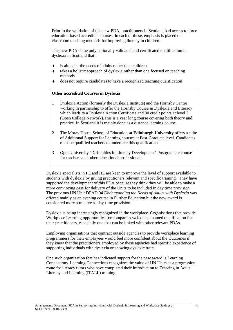Prior to the validation of this new PDA, practitioners in Scotland had access to three education-based accredited courses. In each of these, emphasis is placed on classroom teaching methods for improving literacy in children.

This new PDA is the only nationally validated and certificated qualification in dyslexia in Scotland that:

- is aimed at the needs of adults rather than children
- takes a holistic approach of dyslexia rather than one focused on teaching methods
- does not require candidates to have a recognized teaching qualification

#### **Other accredited Courses in Dyslexia**

- 1 Dyslexia Action (formerly the Dyslexia Institute) and the Hornsby Centre working in partnership to offer the Hornsby Course in Dyslexia and Literacy which leads to a Dyslexia Action Certificate and 30 credit points at level 3 (Open College Network).This is a year long course covering both theory and practice. In Scotland it is mainly done as a distance learning course.
- 2 The Moray House School of Education **at Edinburgh University** offers a suite of Additional Support for Learning courses at Post-Graduate level. Candidates must be qualified teachers to undertake this qualification.
- 3 Open University 'Difficulties in Literacy Development' Postgraduate course for teachers and other educational professionals.

Dyslexia specialists in FE and HE are keen to improve the level of support available to students with dyslexia by giving practitioners relevant and specific training. They have supported the development of this PDA because they think they will be able to make a more convincing case for delivery of the Units to be included in day time provision. The previous HN Unit DPAD 04 *Understanding the Needs of Adults with Dyslexia* was offered mainly as an evening course in Further Education but the new award is considered more attractive as day-time provision*.*

Dyslexia is being increasingly recognized in the workplace. Organisations that provide Workplace Learning opportunities for companies welcome a named qualification for their practitioners, especially one that can be linked with other relevant PDAs.

Employing organisations that contract outside agencies to provide workplace learning programmers for their employees would feel more confident about the Outcomes if they knew that the practitioners employed by these agencies had specific experience of supporting individuals with dyslexia or showing dyslexic traits.

One such organization that has indicated support for the new award is Learning Connections. Learning Connections recognizes the value of HN Units as a progression route for literacy tutors who have completed their Introduction to Tutoring in Adult Literacy and Learning (ITALL) training.

Arrangements Document: PDA in Supporting Individual with Dyslexia in Learning and Workplace Settings at SCQF level 7 (G8LK 47)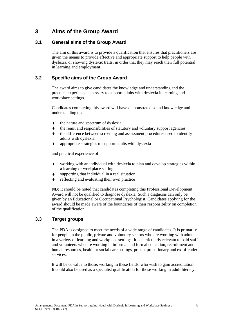## <span id="page-8-0"></span>**3 Aims of the Group Award**

#### <span id="page-8-1"></span>**3.1 General aims of the Group Award**

The aim of this award is to provide a qualification that ensures that practitioners are given the means to provide effective and appropriate support to help people with dyslexia, or showing dyslexic traits, in order that they may reach their full potential in learning and employment.

#### <span id="page-8-2"></span>**3.2 Specific aims of the Group Award**

The award aims to give candidates the knowledge and understanding and the practical experience necessary to support adults with dyslexia in learning and workplace settings.

Candidates completing this award will have demonstrated sound knowledge and understanding of:

- $\blacklozenge$ the nature and spectrum of dyslexia
- the remit and responsibilities of statutory and voluntary support agencies  $\bullet$
- $\ddot{\bullet}$ the difference between screening and assessment procedures used to identify adults with dyslexia
- appropriate strategies to support adults with dyslexia  $\bullet$

and practical experience of:

- working with an individual with dyslexia to plan and develop strategies within a learning or workplace setting
- supporting that individual in a real situation
- reflecting and evaluating their own practice

**NB:** It should be noted that candidates completing this Professional Development Award will not be qualified to diagnose dyslexia. Such a diagnosis can only be given by an Educational or Occupational Psychologist. Candidates applying for the award should be made aware of the boundaries of their responsibility on completion of the qualification.

### <span id="page-8-3"></span>**3.3 Target groups**

The PDA is designed to meet the needs of a wide range of candidates. It is primarily for people in the public, private and voluntary sectors who are working with adults in a variety of learning and workplace settings. It is particularly relevant to paid staff and volunteers who are working in informal and formal education, recruitment and human resources, health or social care settings, prison, probationary and ex-offender services.

It will be of value to those, working in these fields, who wish to gain accreditation. It could also be used as a specialist qualification for those working in adult literacy.

Arrangements Document: PDA in Supporting Individual with Dyslexia in Learning and Workplace Settings at SCQF level 7 (G8LK 47)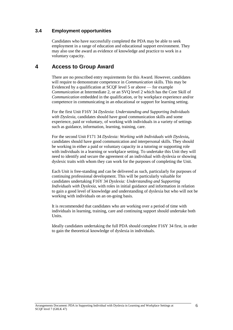#### <span id="page-9-0"></span>**3.4 Employment opportunities**

Candidates who have successfully completed the PDA may be able to seek employment in a range of education and educational support environment. They may also use the award as evidence of knowledge and practice to work in a voluntary capacity.

### <span id="page-9-1"></span>**4 Access to Group Award**

There are no prescribed entry requirements for this Award. However, candidates will require to demonstrate competence in *Communication* skills. This may be Evidenced by a qualification at SCQF level 5 or above — for example *Communication* at Intermediate 2, or an SVQ level 2 which has the Core Skill of *Communication* embedded in the qualification, or by workplace experience and/or competence in communicating in an educational or support for learning setting.

For the first Unit F16Y 34 *Dyslexia*: *Understanding and Supporting Individuals with Dyslexia*, candidates should have good communication skills and some experience, paid or voluntary, of working with individuals in a variety of settings such as guidance, information, learning, training, care.

For the second Unit F171 34 *Dyslexia: Working with Individuals with Dyslexia***,**  candidates should have good communication and interpersonal skills. They should be working in either a paid or voluntary capacity in a tutoring or supporting role with individuals in a learning or workplace setting. To undertake this Unit they will need to identify and secure the agreement of an individual with dyslexia or showing dyslexic traits with whom they can work for the purposes of completing the Unit.

Each Unit is free-standing and can be delivered as such, particularly for purposes of continuing professional development. This will be particularly valuable for candidates undertaking F16Y 34 *Dyslexia: Understanding and Supporting Individuals with Dyslexia*, with roles in initial guidance and information in relation to gain a good level of knowledge and understanding of dyslexia but who will not be working with individuals on an on-going basis.

It is recommended that candidates who are working over a period of time with individuals in learning, training, care and continuing support should undertake both Units.

Ideally candidates undertaking the full PDA should complete F16Y 34 first, in order to gain the theoretical knowledge of dyslexia in individuals.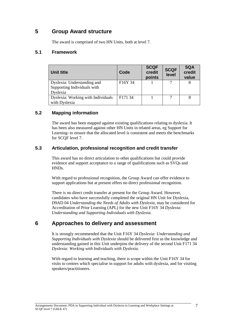## <span id="page-10-0"></span>**5 Group Award structure**

The award is comprised of two HN Units, both at level 7.

#### <span id="page-10-1"></span>**5.1 Framework**

| Unit title                         | Code                | <b>SCQF</b><br>credit<br>points | <b>SCQF</b><br>level | <b>SQA</b><br>credit<br>value |
|------------------------------------|---------------------|---------------------------------|----------------------|-------------------------------|
| Dyslexia: Understanding and        | F16Y 34             |                                 |                      | 8                             |
| Supporting Individuals with        |                     |                                 |                      |                               |
| Dyslexia                           |                     |                                 |                      |                               |
| Dyslexia: Working with Individuals | F <sub>171</sub> 34 |                                 |                      |                               |
| with Dyslexia                      |                     |                                 |                      |                               |

#### <span id="page-10-2"></span>**5.2 Mapping information**

The award has been mapped against existing qualifications relating to dyslexia. It has been also measured against other HN Units in related areas, eg Support for Learning- to ensure that the allocated level is consistent and meets the benchmarks for SCQF level 7.

#### <span id="page-10-3"></span>**5.3 Articulation, professional recognition and credit transfer**

This award has no direct articulation to other qualifications but could provide evidence and support acceptance to a range of qualifications such as SVQs and HNDs.

With regard to professional recognition, the Group Award can offer evidence to support applications but at present offers no direct professional recognition.

There is no direct credit transfer at present for the Group Award. However, candidates who have successfully completed the original HN Unit for Dyslexia, D9AD 04 *Understanding the Needs of Adults with Dyslexia,* may be considered for Accreditation of Prior Learning (APL) for the new Unit F16Y 34 *Dyslexia: Understanding and Supporting Individuals with Dyslexia*.

## <span id="page-10-4"></span>**6 Approaches to delivery and assessment**

It is strongly recommended that the Unit F16Y 34 *Dyslexia: Understanding and Supporting Individuals with Dyslexia* should be delivered first as the knowledge and understanding gained in this Unit underpins the delivery of the second Unit F171 34 *Dyslexia: Working with Individuals with Dyslexia*.

With regard to learning and teaching, there is scope within the Unit F16Y 34 for visits to centres which specialise in support for adults with dyslexia, and for visiting speakers/practitioners.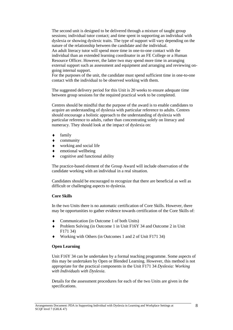The second unit is designed to be delivered through a mixture of taught group sessions; individual tutor contact; and time spent in supporting an individual with dyslexia or showing dyslexic traits. The type of support will vary depending on the nature of the relationship between the candidate and the individual.

An adult literacy tutor will spend more time in one-to-one contact with the individual than an extended learning coordinator in an FE College or a Human Resource Officer. However, the latter two may spend more time in arranging external support such as assessment and equipment and arranging and reviewing ongoing internal support.

For the purposes of the unit, the candidate must spend sufficient time in one-to-one contact with the individual to be observed working with them.

The suggested delivery period for this Unit is 20 weeks to ensure adequate time between group sessions for the required practical work to be completed.

Centres should be mindful that the purpose of the award is to enable candidates to acquire an understanding of dyslexia with particular reference to adults. Centres should encourage a holistic approach to the understanding of dyslexia with particular reference to adults, rather than concentrating solely on literacy and numeracy. They should look at the impact of dyslexia on:

- family  $\blacklozenge$
- $\bullet$ community
- $\bullet$ working and social life
- $\bullet$ emotional wellbeing
- $\bullet$ cognitive and functional ability

The practice-based element of the Group Award will include observation of the candidate working with an individual in a real situation.

Candidates should be encouraged to recognize that there are beneficial as well as difficult or challenging aspects to dyslexia.

#### **Core Skills**

In the two Units there is no automatic certification of Core Skills. However, there may be opportunities to gather evidence towards certification of the Core Skills of:

- Communication (in Outcome 1 of both Units)
- Problem Solving (in Outcome 1 in Unit F16Y 34 and Outcome 2 in Unit F171 34)
- Working with Others (in Outcomes 1 and 2 of Unit F171 34)

#### **Open Learning**

Unit F16Y 34 can be undertaken by a formal teaching programme. Some aspects of this may be undertaken by Open or Blended Learning. However, this method is not appropriate for the practical components in the Unit F171 34 *Dyslexia: Working with Individuals with Dyslexia*.

Details for the assessment procedures for each of the two Units are given in the specifications.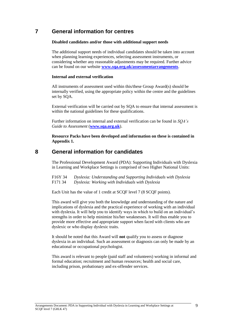## <span id="page-12-0"></span>**7 General information for centres**

#### **Disabled candidates and/or those with additional support needs**

The additional support needs of individual candidates should be taken into account when planning learning experiences, selecting assessment instruments, or considering whether any reasonable adjustments may be required. Further advice can be found on our website **[www.sqa.org.uk/assessmentarrangements](http://www.sqa.org.uk/assessmentarrangements)**.

#### **Internal and external verification**

All instruments of assessment used within this/these Group Award(s) should be internally verified, using the appropriate policy within the centre and the guidelines set by SQA.

External verification will be carried out by SQA to ensure that internal assessment is within the national guidelines for these qualifications.

Further information on internal and external verification can be found in *SQA's Guide to Assessment* (**[www.sqa.org.uk](http://www.sqa.org.uk/)**).

**Resource Packs have been developed and information on these is contained in Appendix 1.**

## <span id="page-12-1"></span>**8 General information for candidates**

The Professional Development Award (PDA): Supporting Individuals with Dyslexia in Learning and Workplace Settings is comprised of two Higher National Units:

F16Y 34 *Dyslexia: Understanding and Supporting Individuals with Dyslexia*  F171 34 *Dyslexia: Working with Individuals with Dyslexia* 

Each Unit has the value of 1 credit at SCQF level 7 (8 SCQF points).

This award will give you both the knowledge and understanding of the nature and implications of dyslexia and the practical experience of working with an individual with dyslexia. It will help you to identify ways in which to build on an individual's strengths in order to help minimize his/her weaknesses. It will thus enable you to provide more effective and appropriate support when faced with clients who are dyslexic or who display dyslexic traits.

It should be noted that this Award will **not** qualify you to assess or diagnose dyslexia in an individual. Such an assessment or diagnosis can only be made by an educational or occupational psychologist.

This award is relevant to people (paid staff and volunteers) working in informal and formal education; recruitment and human resources; health and social care, including prison, probationary and ex-offender services.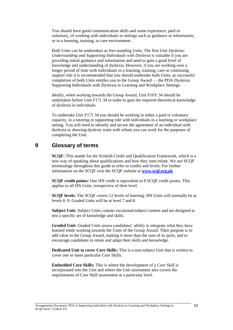You should have good communication skills and some experience, paid or voluntary, of working with individuals in settings such as guidance or information, or in a learning, training, or care environment.

Both Units can be undertaken as free-standing Units. The first Unit *Dyslexia: Understanding and Supporting Individuals with Dyslexia* is valuable if you are providing initial guidance and information and need to gain a good level of knowledge and understanding of dyslexia. However, if you are working over a longer period of time with individuals in a learning, training, care or continuing support role it is recommended that you should undertake both Units, as successful completion of both Units entitles you to the Group Award — the PDA Dyslexia: Supporting Individuals with Dyslexia in Learning and Workplace Settings.

Ideally, when working towards the Group Award, Unit F16Y 34 should be undertaken before Unit F171 34 in order to gain the required theoretical knowledge of dyslexia in individuals.

To undertake Unit F171 34 you should be working in either a paid or voluntary capacity, in a tutoring or supporting role with individuals in a learning or workplace setting. You will need to identify and secure the agreement of an individual with dyslexia or showing dyslexic traits with whom you can work for the purposes of completing the Unit.

### <span id="page-13-0"></span>**9 Glossary of terms**

**SCQF:** This stands for the Scottish Credit and Qualification Framework, which is a new way of speaking about qualifications and how they inter-relate. We use SCQF terminology throughout this guide to refer to credits and levels. For further information on the SCQF visit the SCQF website at **[www.scqf.org.uk](http://www.scqf.org.uk/)**

**SCQF credit points:** One HN credit is equivalent to 8 SCQF credit points. This applies to all HN Units, irrespective of their level.

**SCQF levels:** The SCQF covers 12 levels of learning. HN Units will normally be at levels 6–9. Graded Units will be at level 7 and 8.

**Subject Unit:** Subject Units contain vocational/subject content and are designed to test a specific set of knowledge and skills.

**Graded Unit:** Graded Units assess candidates' ability to integrate what they have learned while working towards the Units of the Group Award. Their purpose is to add value to the Group Award, making it more than the sum of its parts, and to encourage candidates to retain and adapt their skills and knowledge.

**Dedicated Unit to cover Core Skills:** This is a non-subject Unit that is written to cover one or more particular Core Skills.

**Embedded Core Skills:** This is where the development of a Core Skill is incorporated into the Unit and where the Unit assessment also covers the requirements of Core Skill assessment at a particular level.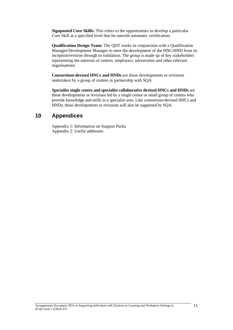**Signposted Core Skills:** This refers to the opportunities to develop a particular Core Skill at a specified level that lie outwith automatic certification.

**Qualification Design Team:** The QDT works in conjunction with a Qualification Manager/Development Manager to steer the development of the HNC/HND from its inception/revision through to validation. The group is made up of key stakeholders representing the interests of centres, employers, universities and other relevant organisations.

**Consortium-devised HNCs and HNDs** are those developments or revisions undertaken by a group of centres in partnership with SQA.

**Specialist single centre and specialist collaborative devised HNCs and HNDs** are those developments or revisions led by a single centre or small group of centres who provide knowledge and skills in a specialist area. Like consortium-devised HNCs and HNDs, these developments or revisions will also be supported by SQA.

## <span id="page-14-0"></span>**10 Appendices**

Appendix 1: Information on Support Packs Appendix 2: Useful addresses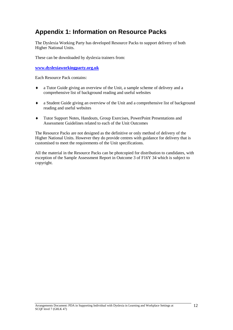## <span id="page-15-0"></span>**Appendix 1: Information on Resource Packs**

The Dyslexia Working Party has developed Resource Packs to support delivery of both Higher National Units.

These can be downloaded by dyslexia trainers from:

**[www.dyslexiaworkingparty.org.uk](http://www.dyslexiaworkingparty.org.uk/)**

Each Resource Pack contains:

- a Tutor Guide giving an overview of the Unit, a sample scheme of delivery and a  $\blacklozenge$ comprehensive list of background reading and useful websites
- a Student Guide giving an overview of the Unit and a comprehensive list of background  $\blacklozenge$ reading and useful websites
- Tutor Support Notes, Handouts, Group Exercises, PowerPoint Presentations and  $\blacklozenge$ Assessment Guidelines related to each of the Unit Outcomes

The Resource Packs are not designed as the definitive or only method of delivery of the Higher National Units. However they do provide centres with guidance for delivery that is customised to meet the requirements of the Unit specifications.

All the material in the Resource Packs can be photcopied for distribution to candidates, with exception of the Sample Assessment Report in Outcome 3 of F16Y 34 which is subject to copyright.